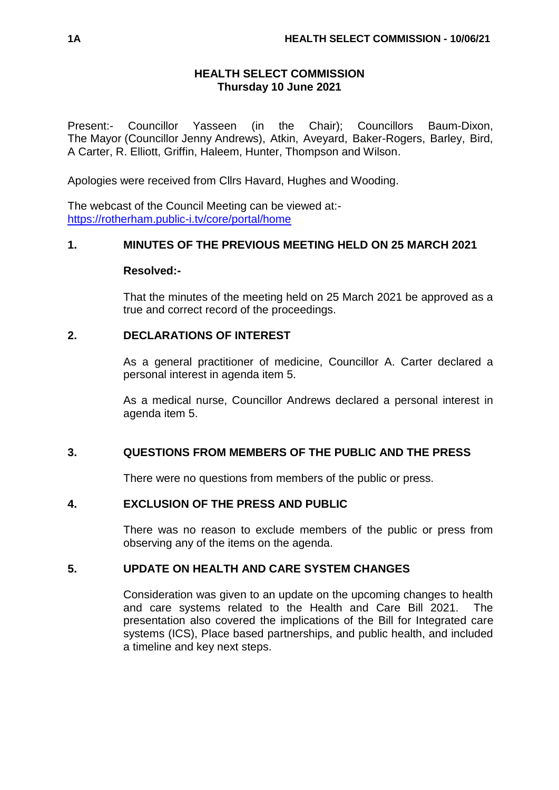# **HEALTH SELECT COMMISSION Thursday 10 June 2021**

Present:- Councillor Yasseen (in the Chair); Councillors Baum-Dixon, The Mayor (Councillor Jenny Andrews), Atkin, Aveyard, Baker-Rogers, Barley, Bird, A Carter, R. Elliott, Griffin, Haleem, Hunter, Thompson and Wilson.

Apologies were received from Cllrs Havard, Hughes and Wooding.

The webcast of the Council Meeting can be viewed at: <https://rotherham.public-i.tv/core/portal/home>

# **1. MINUTES OF THE PREVIOUS MEETING HELD ON 25 MARCH 2021**

#### **Resolved:-**

That the minutes of the meeting held on 25 March 2021 be approved as a true and correct record of the proceedings.

### **2. DECLARATIONS OF INTEREST**

As a general practitioner of medicine, Councillor A. Carter declared a personal interest in agenda item 5.

As a medical nurse, Councillor Andrews declared a personal interest in agenda item 5.

# **3. QUESTIONS FROM MEMBERS OF THE PUBLIC AND THE PRESS**

There were no questions from members of the public or press.

# **4. EXCLUSION OF THE PRESS AND PUBLIC**

There was no reason to exclude members of the public or press from observing any of the items on the agenda.

# **5. UPDATE ON HEALTH AND CARE SYSTEM CHANGES**

Consideration was given to an update on the upcoming changes to health and care systems related to the Health and Care Bill 2021. The presentation also covered the implications of the Bill for Integrated care systems (ICS), Place based partnerships, and public health, and included a timeline and key next steps.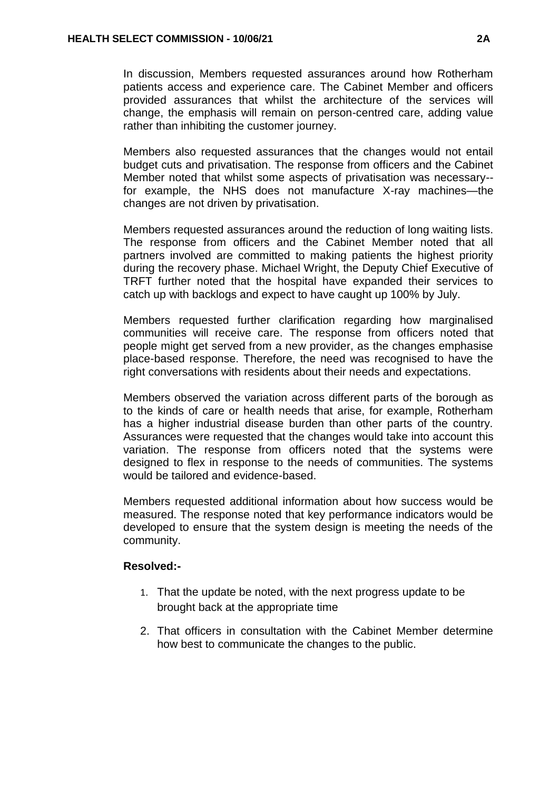In discussion, Members requested assurances around how Rotherham patients access and experience care. The Cabinet Member and officers provided assurances that whilst the architecture of the services will change, the emphasis will remain on person-centred care, adding value rather than inhibiting the customer journey.

Members also requested assurances that the changes would not entail budget cuts and privatisation. The response from officers and the Cabinet Member noted that whilst some aspects of privatisation was necessary- for example, the NHS does not manufacture X-ray machines—the changes are not driven by privatisation.

Members requested assurances around the reduction of long waiting lists. The response from officers and the Cabinet Member noted that all partners involved are committed to making patients the highest priority during the recovery phase. Michael Wright, the Deputy Chief Executive of TRFT further noted that the hospital have expanded their services to catch up with backlogs and expect to have caught up 100% by July.

Members requested further clarification regarding how marginalised communities will receive care. The response from officers noted that people might get served from a new provider, as the changes emphasise place-based response. Therefore, the need was recognised to have the right conversations with residents about their needs and expectations.

Members observed the variation across different parts of the borough as to the kinds of care or health needs that arise, for example, Rotherham has a higher industrial disease burden than other parts of the country. Assurances were requested that the changes would take into account this variation. The response from officers noted that the systems were designed to flex in response to the needs of communities. The systems would be tailored and evidence-based.

Members requested additional information about how success would be measured. The response noted that key performance indicators would be developed to ensure that the system design is meeting the needs of the community.

#### **Resolved:-**

- 1. That the update be noted, with the next progress update to be brought back at the appropriate time
- 2. That officers in consultation with the Cabinet Member determine how best to communicate the changes to the public.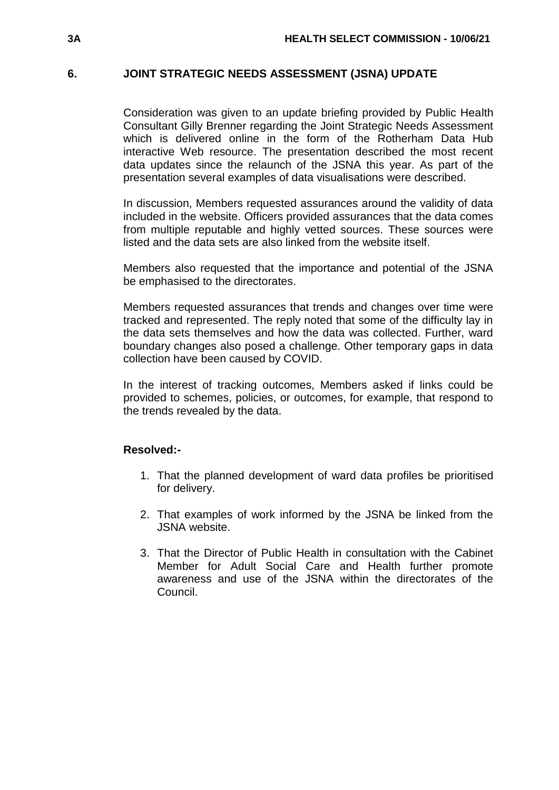### **6. JOINT STRATEGIC NEEDS ASSESSMENT (JSNA) UPDATE**

Consideration was given to an update briefing provided by Public Health Consultant Gilly Brenner regarding the Joint Strategic Needs Assessment which is delivered online in the form of the Rotherham Data Hub interactive Web resource. The presentation described the most recent data updates since the relaunch of the JSNA this year. As part of the presentation several examples of data visualisations were described.

In discussion, Members requested assurances around the validity of data included in the website. Officers provided assurances that the data comes from multiple reputable and highly vetted sources. These sources were listed and the data sets are also linked from the website itself.

Members also requested that the importance and potential of the JSNA be emphasised to the directorates.

Members requested assurances that trends and changes over time were tracked and represented. The reply noted that some of the difficulty lay in the data sets themselves and how the data was collected. Further, ward boundary changes also posed a challenge. Other temporary gaps in data collection have been caused by COVID.

In the interest of tracking outcomes, Members asked if links could be provided to schemes, policies, or outcomes, for example, that respond to the trends revealed by the data.

#### **Resolved:-**

- 1. That the planned development of ward data profiles be prioritised for delivery.
- 2. That examples of work informed by the JSNA be linked from the JSNA website.
- 3. That the Director of Public Health in consultation with the Cabinet Member for Adult Social Care and Health further promote awareness and use of the JSNA within the directorates of the Council.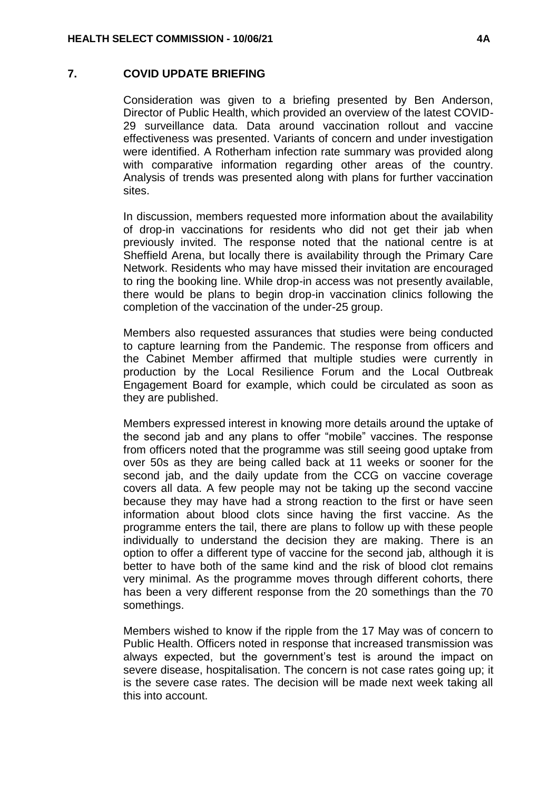#### **7. COVID UPDATE BRIEFING**

Consideration was given to a briefing presented by Ben Anderson, Director of Public Health, which provided an overview of the latest COVID-29 surveillance data. Data around vaccination rollout and vaccine effectiveness was presented. Variants of concern and under investigation were identified. A Rotherham infection rate summary was provided along with comparative information regarding other areas of the country. Analysis of trends was presented along with plans for further vaccination sites.

In discussion, members requested more information about the availability of drop-in vaccinations for residents who did not get their jab when previously invited. The response noted that the national centre is at Sheffield Arena, but locally there is availability through the Primary Care Network. Residents who may have missed their invitation are encouraged to ring the booking line. While drop-in access was not presently available, there would be plans to begin drop-in vaccination clinics following the completion of the vaccination of the under-25 group.

Members also requested assurances that studies were being conducted to capture learning from the Pandemic. The response from officers and the Cabinet Member affirmed that multiple studies were currently in production by the Local Resilience Forum and the Local Outbreak Engagement Board for example, which could be circulated as soon as they are published.

Members expressed interest in knowing more details around the uptake of the second jab and any plans to offer "mobile" vaccines. The response from officers noted that the programme was still seeing good uptake from over 50s as they are being called back at 11 weeks or sooner for the second jab, and the daily update from the CCG on vaccine coverage covers all data. A few people may not be taking up the second vaccine because they may have had a strong reaction to the first or have seen information about blood clots since having the first vaccine. As the programme enters the tail, there are plans to follow up with these people individually to understand the decision they are making. There is an option to offer a different type of vaccine for the second jab, although it is better to have both of the same kind and the risk of blood clot remains very minimal. As the programme moves through different cohorts, there has been a very different response from the 20 somethings than the 70 somethings.

Members wished to know if the ripple from the 17 May was of concern to Public Health. Officers noted in response that increased transmission was always expected, but the government's test is around the impact on severe disease, hospitalisation. The concern is not case rates going up; it is the severe case rates. The decision will be made next week taking all this into account.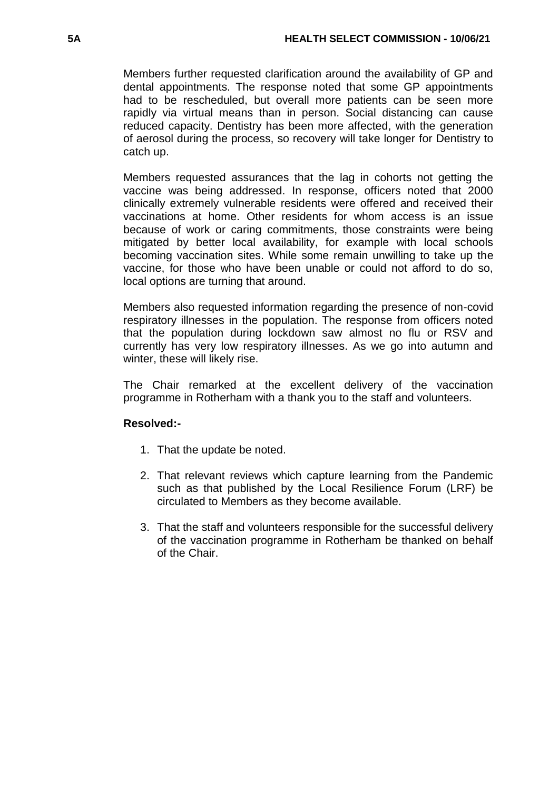Members further requested clarification around the availability of GP and dental appointments. The response noted that some GP appointments had to be rescheduled, but overall more patients can be seen more rapidly via virtual means than in person. Social distancing can cause reduced capacity. Dentistry has been more affected, with the generation of aerosol during the process, so recovery will take longer for Dentistry to catch up.

Members requested assurances that the lag in cohorts not getting the vaccine was being addressed. In response, officers noted that 2000 clinically extremely vulnerable residents were offered and received their vaccinations at home. Other residents for whom access is an issue because of work or caring commitments, those constraints were being mitigated by better local availability, for example with local schools becoming vaccination sites. While some remain unwilling to take up the vaccine, for those who have been unable or could not afford to do so, local options are turning that around.

Members also requested information regarding the presence of non-covid respiratory illnesses in the population. The response from officers noted that the population during lockdown saw almost no flu or RSV and currently has very low respiratory illnesses. As we go into autumn and winter, these will likely rise.

The Chair remarked at the excellent delivery of the vaccination programme in Rotherham with a thank you to the staff and volunteers.

# **Resolved:-**

- 1. That the update be noted.
- 2. That relevant reviews which capture learning from the Pandemic such as that published by the Local Resilience Forum (LRF) be circulated to Members as they become available.
- 3. That the staff and volunteers responsible for the successful delivery of the vaccination programme in Rotherham be thanked on behalf of the Chair.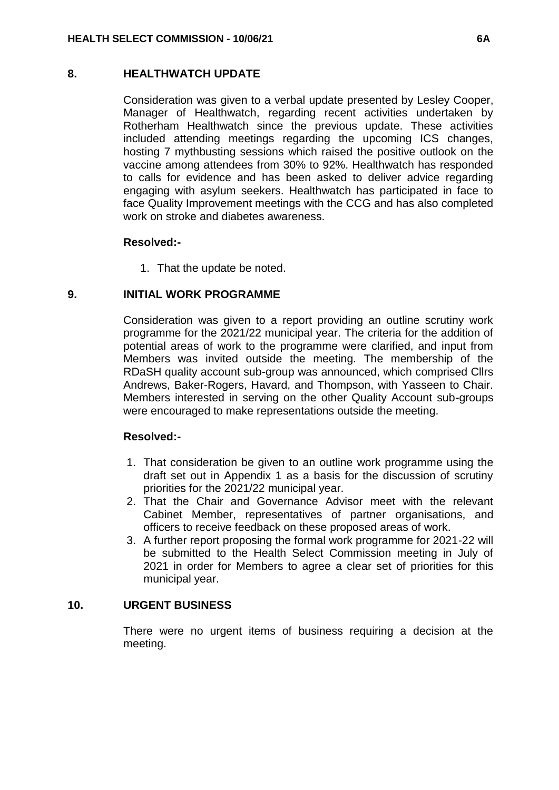### **8. HEALTHWATCH UPDATE**

Consideration was given to a verbal update presented by Lesley Cooper, Manager of Healthwatch, regarding recent activities undertaken by Rotherham Healthwatch since the previous update. These activities included attending meetings regarding the upcoming ICS changes, hosting 7 mythbusting sessions which raised the positive outlook on the vaccine among attendees from 30% to 92%. Healthwatch has responded to calls for evidence and has been asked to deliver advice regarding engaging with asylum seekers. Healthwatch has participated in face to face Quality Improvement meetings with the CCG and has also completed work on stroke and diabetes awareness.

# **Resolved:-**

1. That the update be noted.

### **9. INITIAL WORK PROGRAMME**

Consideration was given to a report providing an outline scrutiny work programme for the 2021/22 municipal year. The criteria for the addition of potential areas of work to the programme were clarified, and input from Members was invited outside the meeting. The membership of the RDaSH quality account sub-group was announced, which comprised Cllrs Andrews, Baker-Rogers, Havard, and Thompson, with Yasseen to Chair. Members interested in serving on the other Quality Account sub-groups were encouraged to make representations outside the meeting.

#### **Resolved:-**

- 1. That consideration be given to an outline work programme using the draft set out in Appendix 1 as a basis for the discussion of scrutiny priorities for the 2021/22 municipal year.
- 2. That the Chair and Governance Advisor meet with the relevant Cabinet Member, representatives of partner organisations, and officers to receive feedback on these proposed areas of work.
- 3. A further report proposing the formal work programme for 2021-22 will be submitted to the Health Select Commission meeting in July of 2021 in order for Members to agree a clear set of priorities for this municipal year.

# **10. URGENT BUSINESS**

There were no urgent items of business requiring a decision at the meeting.